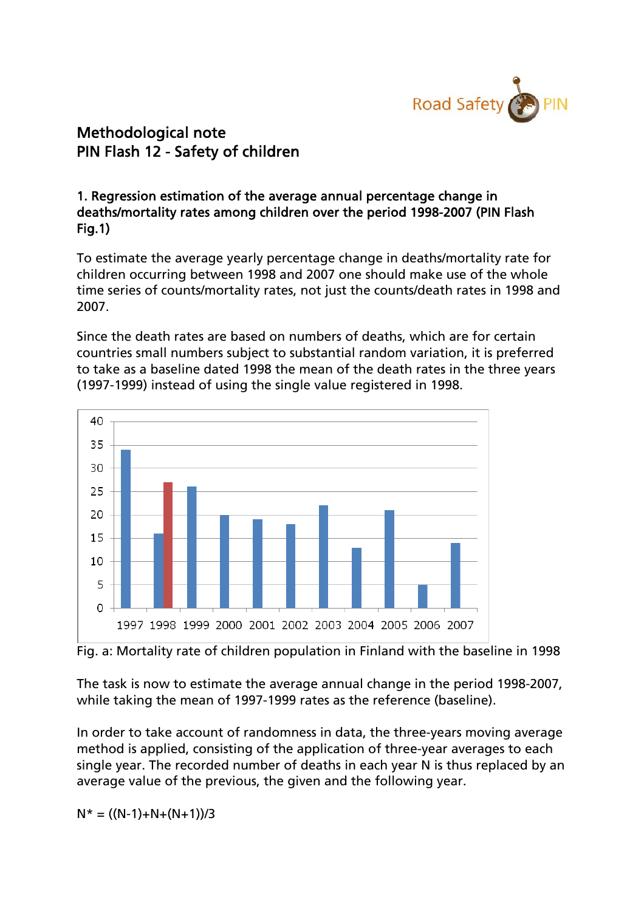

## Methodological note PIN Flash 12 - Safety of children

## 1. Regression estimation of the average annual percentage change in deaths/mortality rates among children over the period 1998-2007 (PIN Flash Fig.1)

To estimate the average yearly percentage change in deaths/mortality rate for children occurring between 1998 and 2007 one should make use of the whole time series of counts/mortality rates, not just the counts/death rates in 1998 and 2007.

Since the death rates are based on numbers of deaths, which are for certain countries small numbers subject to substantial random variation, it is preferred to take as a baseline dated 1998 the mean of the death rates in the three years (1997-1999) instead of using the single value registered in 1998.



Fig. a: Mortality rate of children population in Finland with the baseline in 1998

The task is now to estimate the average annual change in the period 1998-2007, while taking the mean of 1997-1999 rates as the reference (baseline).

In order to take account of randomness in data, the three-years moving average method is applied, consisting of the application of three-year averages to each single year. The recorded number of deaths in each year N is thus replaced by an average value of the previous, the given and the following year.

 $N^* = ((N-1)+N+(N+1))/3$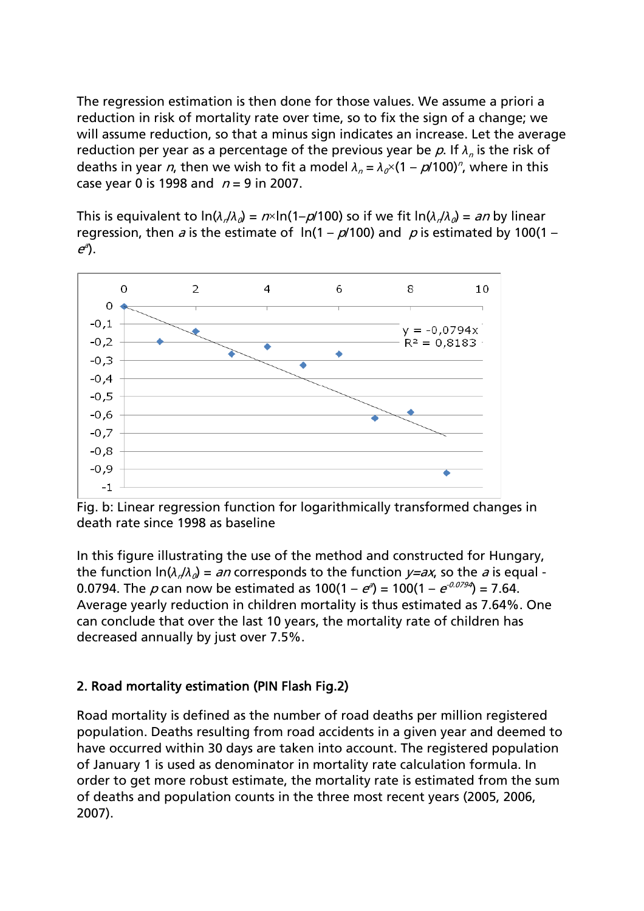The regression estimation is then done for those values. We assume a priori a reduction in risk of mortality rate over time, so to fix the sign of a change; we will assume reduction, so that a minus sign indicates an increase. Let the average reduction per year as a percentage of the previous year be p. If  $\lambda_n$  is the risk of deaths in year *n*, then we wish to fit a model  $\lambda_n = \lambda_0 \times (1 - p/100)^n$ , where in this case year 0 is 1998 and  $n = 9$  in 2007.

This is equivalent to  $\ln(\lambda/\lambda_a) = n \times \ln(1-p/100)$  so if we fit  $\ln(\lambda/\lambda_a) = an$  by linear regression, then a is the estimate of  $ln(1 - p/100)$  and p is estimated by 100(1 –  $e^{a}$ ).



Fig. b: Linear regression function for logarithmically transformed changes in death rate since 1998 as baseline

In this figure illustrating the use of the method and constructed for Hungary, the function  $\ln(\lambda/\lambda_0) = an$  corresponds to the function  $y=ax$ , so the a is equal -0.0794. The  $\rho$  can now be estimated as  $100(1-e^{a}) = 100(1-e^{0.0794}) = 7.64$ . Average yearly reduction in children mortality is thus estimated as 7.64%. One can conclude that over the last 10 years, the mortality rate of children has decreased annually by just over 7.5%.

## 2. Road mortality estimation (PIN Flash Fig.2)

Road mortality is defined as the number of road deaths per million registered population. Deaths resulting from road accidents in a given year and deemed to have occurred within 30 days are taken into account. The registered population of January 1 is used as denominator in mortality rate calculation formula. In order to get more robust estimate, the mortality rate is estimated from the sum of deaths and population counts in the three most recent years (2005, 2006, 2007).